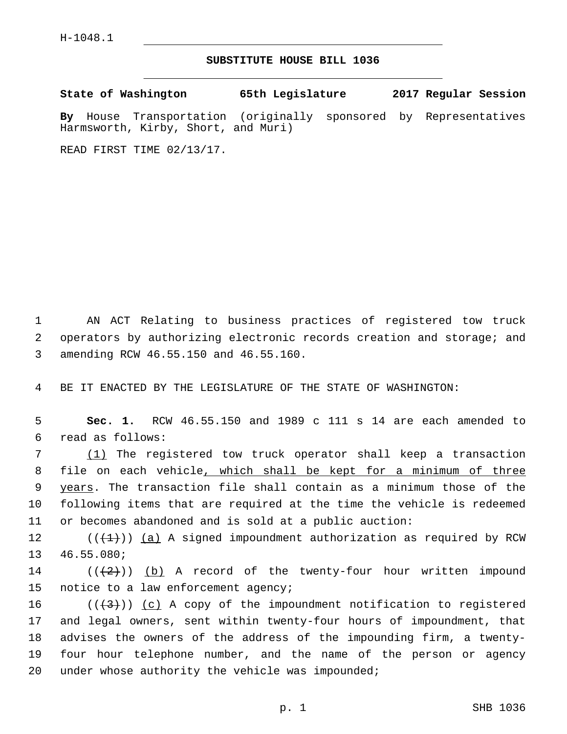## **SUBSTITUTE HOUSE BILL 1036**

**State of Washington 65th Legislature 2017 Regular Session**

**By** House Transportation (originally sponsored by Representatives Harmsworth, Kirby, Short, and Muri)

READ FIRST TIME 02/13/17.

1 AN ACT Relating to business practices of registered tow truck 2 operators by authorizing electronic records creation and storage; and amending RCW 46.55.150 and 46.55.160.3

4 BE IT ENACTED BY THE LEGISLATURE OF THE STATE OF WASHINGTON:

5 **Sec. 1.** RCW 46.55.150 and 1989 c 111 s 14 are each amended to read as follows:6

 (1) The registered tow truck operator shall keep a transaction file on each vehicle, which shall be kept for a minimum of three 9 years. The transaction file shall contain as a minimum those of the following items that are required at the time the vehicle is redeemed or becomes abandoned and is sold at a public auction:

12  $((+1))$   $(a)$  A signed impoundment authorization as required by RCW 13 46.55.080;

14 ( $(\frac{1}{2})$ ) (b) A record of the twenty-four hour written impound 15 notice to a law enforcement agency;

16 ( $(\frac{4}{3})$ ) (c) A copy of the impoundment notification to registered 17 and legal owners, sent within twenty-four hours of impoundment, that 18 advises the owners of the address of the impounding firm, a twenty-19 four hour telephone number, and the name of the person or agency 20 under whose authority the vehicle was impounded;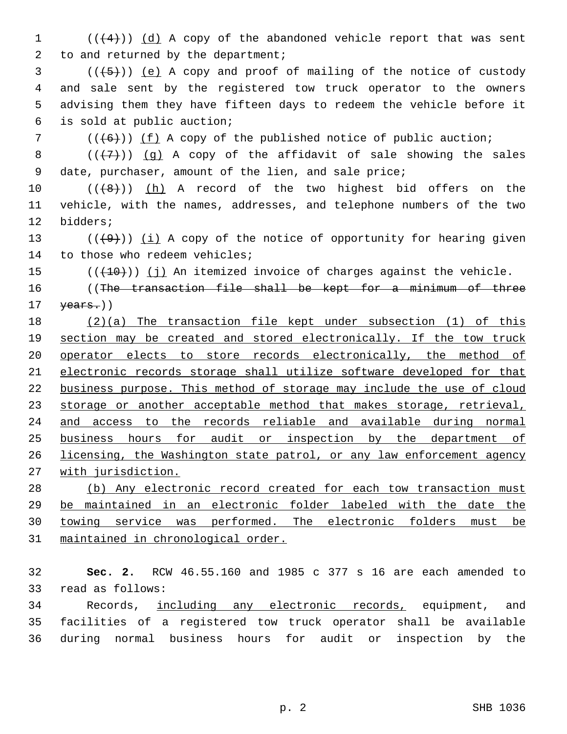(( $(4)$ )) (d) A copy of the abandoned vehicle report that was sent 2 to and returned by the department;

 ( $(\overline{+5})$ ) (e) A copy and proof of mailing of the notice of custody and sale sent by the registered tow truck operator to the owners advising them they have fifteen days to redeem the vehicle before it is sold at public auction;6

( $(\overline{6})$ ) (f) A copy of the published notice of public auction;

8  $((+7)$ ) (g) A copy of the affidavit of sale showing the sales date, purchaser, amount of the lien, and sale price;

10  $((+8+))$   $(h)$  A record of the two highest bid offers on the vehicle, with the names, addresses, and telephone numbers of the two 12 bidders;

13  $((+9))$  (i) A copy of the notice of opportunity for hearing given 14 to those who redeem vehicles;

(( $(10)$ )) (j) An itemized invoice of charges against the vehicle.

16 (The transaction file shall be kept for a minimum of three  $\text{years.}$ ))

 (2)(a) The transaction file kept under subsection (1) of this section may be created and stored electronically. If the tow truck operator elects to store records electronically, the method of electronic records storage shall utilize software developed for that business purpose. This method of storage may include the use of cloud 23 storage or another acceptable method that makes storage, retrieval, and access to the records reliable and available during normal business hours for audit or inspection by the department of licensing, the Washington state patrol, or any law enforcement agency with jurisdiction.

 (b) Any electronic record created for each tow transaction must be maintained in an electronic folder labeled with the date the towing service was performed. The electronic folders must be maintained in chronological order.

 **Sec. 2.** RCW 46.55.160 and 1985 c 377 s 16 are each amended to 33 read as follows:

 Records, including any electronic records, equipment, and facilities of a registered tow truck operator shall be available during normal business hours for audit or inspection by the